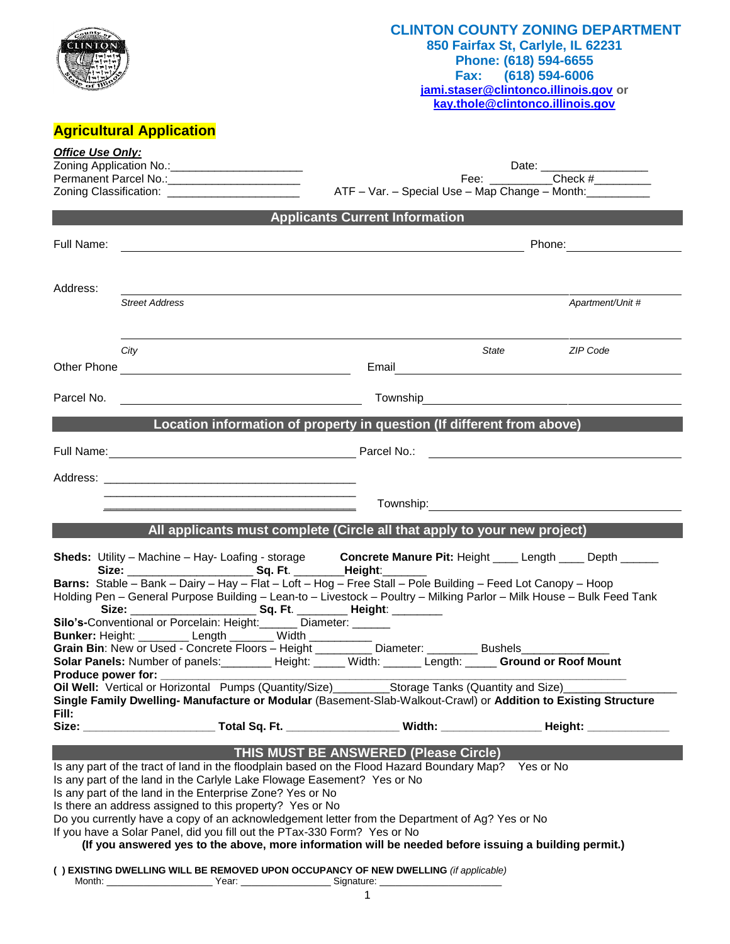# **Agricultural Application**

**CLINTON** 

#### **CLINTON COUNTY ZONING DEPARTMENT 850 Fairfax St, Carlyle, IL 62231 Phone: (618) 594-6655 Fax: (618) 594-6006**

**[jami.staser@clintonco.illinois.gov](mailto:jami.staser@clintonco.illinois.gov) or [kay.thole@clintonco.illinois.gov](mailto:kay.thole@clintonco.illinois.gov)**

| Check #<br>Fee: when the state of the state of the state of the state of the state of the state of the state of the state                                                                                                                                                                                       |  |  |  |  |  |  |
|-----------------------------------------------------------------------------------------------------------------------------------------------------------------------------------------------------------------------------------------------------------------------------------------------------------------|--|--|--|--|--|--|
| ATF - Var. - Special Use - Map Change - Month:                                                                                                                                                                                                                                                                  |  |  |  |  |  |  |
|                                                                                                                                                                                                                                                                                                                 |  |  |  |  |  |  |
| Phone: __________________<br><u> 1989 - Johann Stoff, deutscher Stoffen und der Stoffen und der Stoffen und der Stoffen und der Stoffen und der</u>                                                                                                                                                             |  |  |  |  |  |  |
|                                                                                                                                                                                                                                                                                                                 |  |  |  |  |  |  |
| Apartment/Unit #                                                                                                                                                                                                                                                                                                |  |  |  |  |  |  |
| ZIP Code                                                                                                                                                                                                                                                                                                        |  |  |  |  |  |  |
|                                                                                                                                                                                                                                                                                                                 |  |  |  |  |  |  |
|                                                                                                                                                                                                                                                                                                                 |  |  |  |  |  |  |
| Location information of property in question (If different from above)                                                                                                                                                                                                                                          |  |  |  |  |  |  |
|                                                                                                                                                                                                                                                                                                                 |  |  |  |  |  |  |
|                                                                                                                                                                                                                                                                                                                 |  |  |  |  |  |  |
|                                                                                                                                                                                                                                                                                                                 |  |  |  |  |  |  |
|                                                                                                                                                                                                                                                                                                                 |  |  |  |  |  |  |
| All applicants must complete (Circle all that apply to your new project)                                                                                                                                                                                                                                        |  |  |  |  |  |  |
| Sheds: Utility - Machine - Hay- Loafing - storage Concrete Manure Pit: Height ____ Length ____ Depth _____                                                                                                                                                                                                      |  |  |  |  |  |  |
|                                                                                                                                                                                                                                                                                                                 |  |  |  |  |  |  |
| Barns: Stable - Bank - Dairy - Hay - Flat - Loft - Hog - Free Stall - Pole Building - Feed Lot Canopy - Hoop<br>Holding Pen - General Purpose Building - Lean-to - Livestock - Poultry - Milking Parlor - Milk House - Bulk Feed Tank                                                                           |  |  |  |  |  |  |
|                                                                                                                                                                                                                                                                                                                 |  |  |  |  |  |  |
| Grain Bin: New or Used - Concrete Floors - Height _________ Diameter: ________ Bushels____________                                                                                                                                                                                                              |  |  |  |  |  |  |
| Solar Panels: Number of panels: ________ Height: _____ Width: ______ Length: _____ Ground or Roof Mount                                                                                                                                                                                                         |  |  |  |  |  |  |
| Oil Well: Vertical or Horizontal Pumps (Quantity/Size)____________Storage Tanks (Quantity and Size)____<br>Single Family Dwelling- Manufacture or Modular (Basement-Slab-Walkout-Crawl) or Addition to Existing Structure                                                                                       |  |  |  |  |  |  |
| Size: _____________________________Total Sq. Ft. _________________________Width: _____________________________                                                                                                                                                                                                  |  |  |  |  |  |  |
|                                                                                                                                                                                                                                                                                                                 |  |  |  |  |  |  |
| Is any part of the tract of land in the floodplain based on the Flood Hazard Boundary Map? Yes or No<br>Do you currently have a copy of an acknowledgement letter from the Department of Ag? Yes or No<br>(If you answered yes to the above, more information will be needed before issuing a building permit.) |  |  |  |  |  |  |
|                                                                                                                                                                                                                                                                                                                 |  |  |  |  |  |  |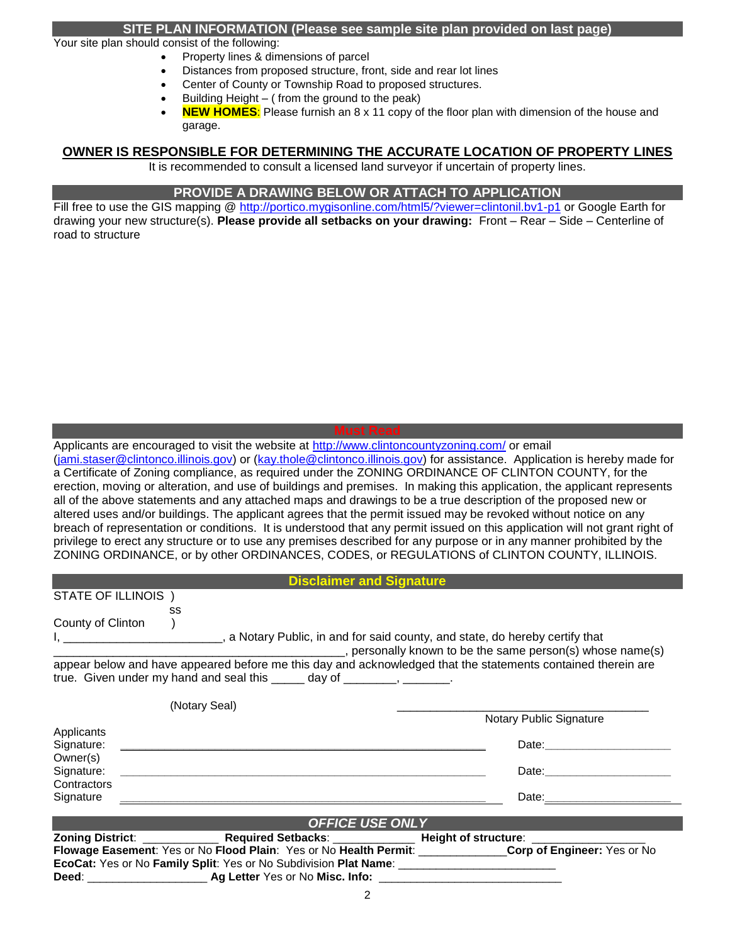#### **SITE PLAN INFORMATION (Please see sample site plan provided on last page)**

Your site plan should consist of the following:

- Property lines & dimensions of parcel
- Distances from proposed structure, front, side and rear lot lines
- Center of County or Township Road to proposed structures.
- Building Height ( from the ground to the peak)
- **NEW HOMES**: Please furnish an 8 x 11 copy of the floor plan with dimension of the house and garage.

#### **OWNER IS RESPONSIBLE FOR DETERMINING THE ACCURATE LOCATION OF PROPERTY LINES**

It is recommended to consult a licensed land surveyor if uncertain of property lines.

#### **PROVIDE A DRAWING BELOW OR ATTACH TO APPLICATION**

Fill free to use the GIS mapping @<http://portico.mygisonline.com/html5/?viewer=clintonil.bv1-p1> or Google Earth for drawing your new structure(s). **Please provide all setbacks on your drawing:** Front – Rear – Side – Centerline of road to structure

Applicants are encouraged to visit the website at<http://www.clintoncountyzoning.com/> or email

[\(jami.staser@clintonco.illinois.gov\)](mailto:jami.staser@clintonco.illinois.gov) or [\(kay.thole@clintonco.illinois.gov\)](mailto:kay.thole@clintonco.illinois.gov) for assistance. Application is hereby made for a Certificate of Zoning compliance, as required under the ZONING ORDINANCE OF CLINTON COUNTY, for the erection, moving or alteration, and use of buildings and premises. In making this application, the applicant represents all of the above statements and any attached maps and drawings to be a true description of the proposed new or altered uses and/or buildings. The applicant agrees that the permit issued may be revoked without notice on any breach of representation or conditions. It is understood that any permit issued on this application will not grant right of privilege to erect any structure or to use any premises described for any purpose or in any manner prohibited by the ZONING ORDINANCE, or by other ORDINANCES, CODES, or REGULATIONS of CLINTON COUNTY, ILLINOIS.

| <b>Disclaimer and Signature</b> |    |                                                                            |  |  |
|---------------------------------|----|----------------------------------------------------------------------------|--|--|
| STATE OF ILLINOIS               |    |                                                                            |  |  |
|                                 | SS |                                                                            |  |  |
| County of Clinton               |    |                                                                            |  |  |
|                                 |    | a Notary Public, in and for said county, and state, do hereby certify that |  |  |
|                                 |    | personally known to be the same person(s) whose name(s)                    |  |  |

appear below and have appeared before me this day and acknowledged that the statements contained therein are true. Given under my hand and seal this day of the control of the control of the control of the control of the c

|             | (Notary Seal)                                                                                                |                                                                                                                                                                                                                                |
|-------------|--------------------------------------------------------------------------------------------------------------|--------------------------------------------------------------------------------------------------------------------------------------------------------------------------------------------------------------------------------|
|             |                                                                                                              | Notary Public Signature                                                                                                                                                                                                        |
| Applicants  |                                                                                                              |                                                                                                                                                                                                                                |
| Signature:  |                                                                                                              | Date: the contract of the contract of the contract of the contract of the contract of the contract of the contract of the contract of the contract of the contract of the contract of the contract of the contract of the cont |
| Owner(s)    |                                                                                                              |                                                                                                                                                                                                                                |
| Signature:  | <u> 1980 - Jan Berlin, margaret eta biztanleria (h. 1980).</u>                                               | Date: the contract of the contract of the contract of the contract of the contract of the contract of the contract of the contract of the contract of the contract of the contract of the contract of the contract of the cont |
| Contractors |                                                                                                              |                                                                                                                                                                                                                                |
| Signature   |                                                                                                              |                                                                                                                                                                                                                                |
|             |                                                                                                              |                                                                                                                                                                                                                                |
|             | <b>OFFICE USE ONLY</b>                                                                                       |                                                                                                                                                                                                                                |
|             |                                                                                                              |                                                                                                                                                                                                                                |
|             | Flowage Easement: Yes or No Flood Plain: Yes or No Health Permit: _______________Corp of Engineer: Yes or No |                                                                                                                                                                                                                                |
|             | EcoCat: Yes or No Family Split: Yes or No Subdivision Plat Name: ______________________                      |                                                                                                                                                                                                                                |
|             | Deed: ______________________                                                                                 |                                                                                                                                                                                                                                |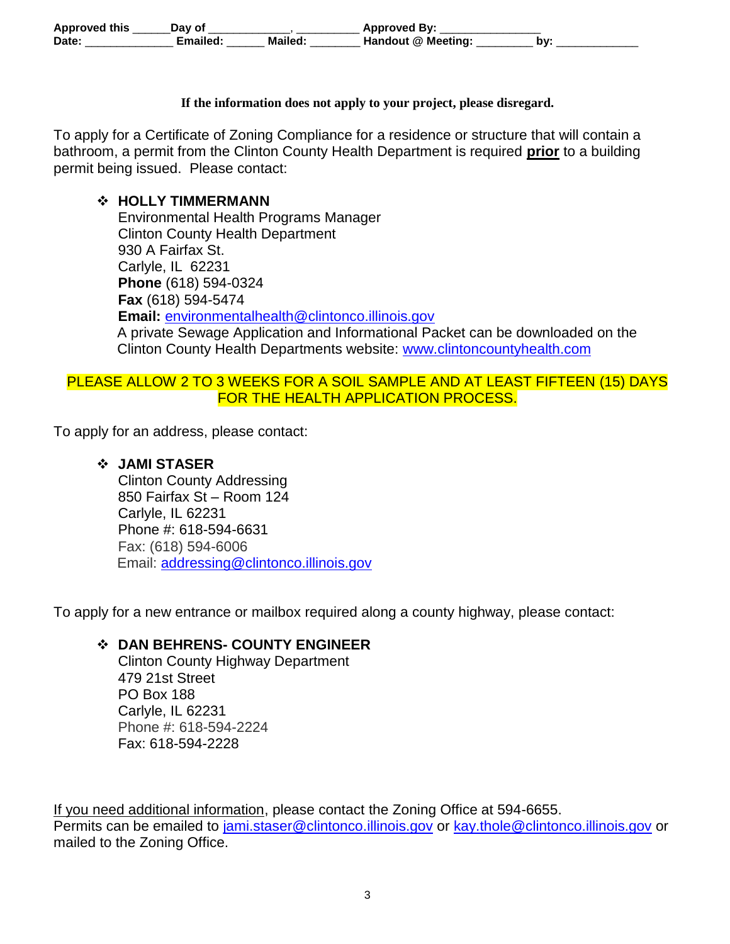| <b>Approved this</b> | Dav of  |         | <b>Approved By:</b> |     |
|----------------------|---------|---------|---------------------|-----|
| <b>Date</b>          | ™ailed: | Mailed. | Handout @ Meeting:  | bv. |

#### **If the information does not apply to your project, please disregard.**

To apply for a Certificate of Zoning Compliance for a residence or structure that will contain a bathroom, a permit from the Clinton County Health Department is required **prior** to a building permit being issued. Please contact:

#### **HOLLY TIMMERMANN**

Environmental Health Programs Manager Clinton County Health Department 930 A Fairfax St. Carlyle, IL 62231 **Phone** (618) 594-0324 **Fax** (618) 594-5474 **Email:** [environmentalhealth@clintonco.illinois.gov](mailto:environmentalhealth@clintonco.illinois.gov) A private Sewage Application and Informational Packet can be downloaded on the Clinton County Health Departments website: [www.clintoncountyhealth.com](http://www.clintoncountyhealth.com/)

## PLEASE ALLOW 2 TO 3 WEEKS FOR A SOIL SAMPLE AND AT LEAST FIFTEEN (15) DAYS FOR THE HEALTH APPLICATION PROCESS.

To apply for an address, please contact:

### **JAMI STASER**

Clinton County Addressing 850 Fairfax St – Room 124 Carlyle, IL 62231 Phone #: 618-594-6631 Fax: (618) 594-6006 Email: [addressing@clintonco.illinois.gov](mailto:addressing@clintonco.illinois.gov)

To apply for a new entrance or mailbox required along a county highway, please contact:

## **DAN BEHRENS- COUNTY ENGINEER**

Clinton County Highway Department 479 21st Street PO Box 188 Carlyle, IL 62231 Phone #: 618-594-2224 Fax: 618-594-2228

If you need additional information, please contact the Zoning Office at 594-6655. Permits can be emailed to [jami.staser@clintonco.illinois.gov](mailto:jami.staser@clintonco.illinois.gov) or [kay.thole@clintonco.illinois.gov](mailto:kay.thole@clintonco.illinois.gov) or mailed to the Zoning Office.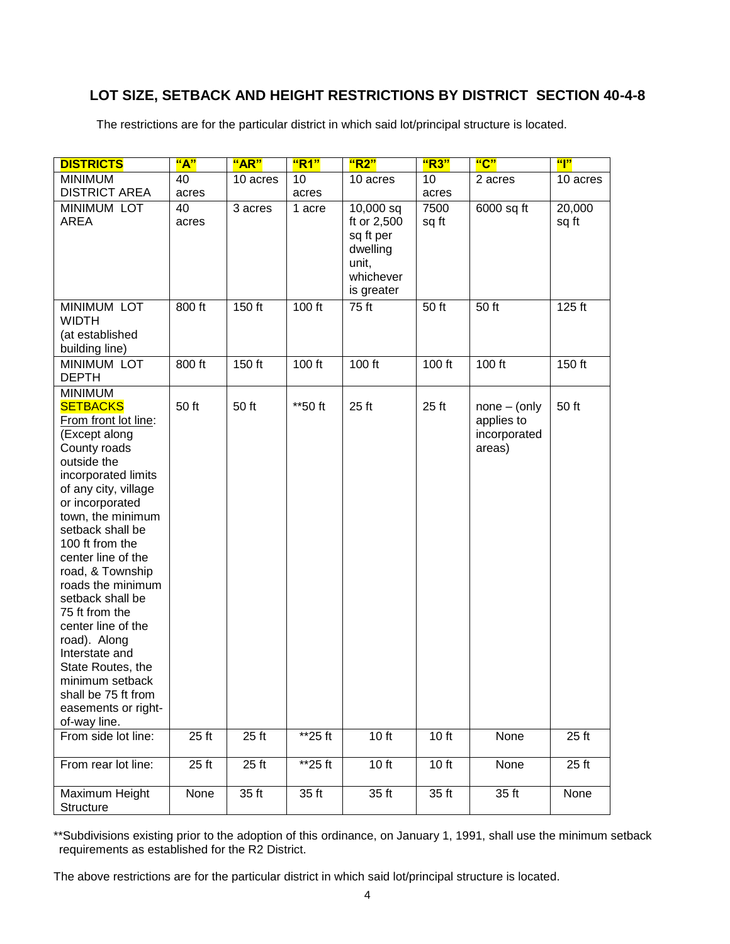# **LOT SIZE, SETBACK AND HEIGHT RESTRICTIONS BY DISTRICT SECTION 40-4-8**

The restrictions are for the particular district in which said lot/principal structure is located.

| <b>DISTRICTS</b>                                                                                                                                                                                                                                                                                                                                                                                                                                                                                           | "A"         | "AR"     | "R1"    | "R2"                                                                                  | "R3"          | "C"                                                     | $\mathbf{``}$ $\mathbf{''}$ |
|------------------------------------------------------------------------------------------------------------------------------------------------------------------------------------------------------------------------------------------------------------------------------------------------------------------------------------------------------------------------------------------------------------------------------------------------------------------------------------------------------------|-------------|----------|---------|---------------------------------------------------------------------------------------|---------------|---------------------------------------------------------|-----------------------------|
| <b>MINIMUM</b>                                                                                                                                                                                                                                                                                                                                                                                                                                                                                             | 40          | 10 acres | 10      | 10 acres                                                                              | 10            | 2 acres                                                 | 10 acres                    |
| <b>DISTRICT AREA</b>                                                                                                                                                                                                                                                                                                                                                                                                                                                                                       | acres       |          | acres   |                                                                                       | acres         |                                                         |                             |
| <b>MINIMUM LOT</b><br><b>AREA</b>                                                                                                                                                                                                                                                                                                                                                                                                                                                                          | 40<br>acres | 3 acres  | 1 acre  | 10,000 sq<br>ft or 2,500<br>sq ft per<br>dwelling<br>unit,<br>whichever<br>is greater | 7500<br>sq ft | 6000 sq ft                                              | 20,000<br>sq ft             |
| <b>MINIMUM LOT</b><br><b>WIDTH</b><br>(at established<br>building line)                                                                                                                                                                                                                                                                                                                                                                                                                                    | 800 ft      | 150 ft   | 100 ft  | 75 ft                                                                                 | 50 ft         | 50 ft                                                   | 125 ft                      |
| <b>MINIMUM LOT</b><br><b>DEPTH</b>                                                                                                                                                                                                                                                                                                                                                                                                                                                                         | 800 ft      | 150 ft   | 100 ft  | 100 ft                                                                                | 100 ft        | 100 ft                                                  | 150 ft                      |
| <b>MINIMUM</b><br><b>SETBACKS</b><br>From front lot line:<br>(Except along<br>County roads<br>outside the<br>incorporated limits<br>of any city, village<br>or incorporated<br>town, the minimum<br>setback shall be<br>100 ft from the<br>center line of the<br>road, & Township<br>roads the minimum<br>setback shall be<br>75 ft from the<br>center line of the<br>road). Along<br>Interstate and<br>State Routes, the<br>minimum setback<br>shall be 75 ft from<br>easements or right-<br>of-way line. | 50 ft       | 50 ft    | **50 ft | 25 ft                                                                                 | 25 ft         | $none - (only)$<br>applies to<br>incorporated<br>areas) | 50 ft                       |
| From side lot line:                                                                                                                                                                                                                                                                                                                                                                                                                                                                                        | 25 ft       | 25 ft    | **25 ft | 10 ft                                                                                 | 10 ft         | None                                                    | 25 ft                       |
| From rear lot line:                                                                                                                                                                                                                                                                                                                                                                                                                                                                                        | 25 ft       | $25$ ft  | **25 ft | 10 ft                                                                                 | 10 ft         | None                                                    | 25 ft                       |
| Maximum Height<br>Structure                                                                                                                                                                                                                                                                                                                                                                                                                                                                                | None        | 35 ft    | 35 ft   | 35 ft                                                                                 | 35 ft         | 35 ft                                                   | None                        |

\*\*Subdivisions existing prior to the adoption of this ordinance, on January 1, 1991, shall use the minimum setback requirements as established for the R2 District.

The above restrictions are for the particular district in which said lot/principal structure is located.